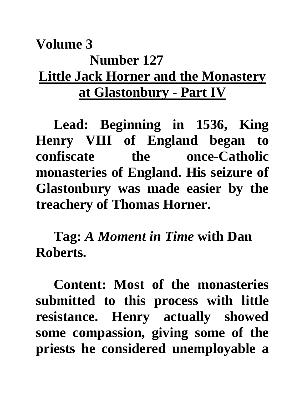## **Volume 3 Number 127 Little Jack Horner and the Monastery at Glastonbury - Part IV**

**Lead: Beginning in 1536, King Henry VIII of England began to confiscate the once-Catholic monasteries of England. His seizure of Glastonbury was made easier by the treachery of Thomas Horner.**

**Tag:** *A Moment in Time* **with Dan Roberts.**

**Content: Most of the monasteries submitted to this process with little resistance. Henry actually showed some compassion, giving some of the priests he considered unemployable a**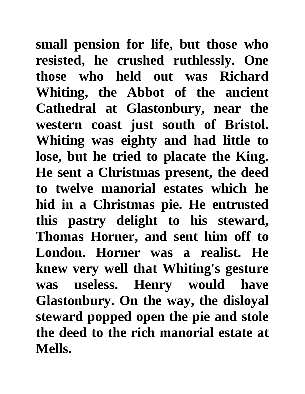**small pension for life, but those who resisted, he crushed ruthlessly. One those who held out was Richard Whiting, the Abbot of the ancient Cathedral at Glastonbury, near the western coast just south of Bristol. Whiting was eighty and had little to lose, but he tried to placate the King. He sent a Christmas present, the deed to twelve manorial estates which he hid in a Christmas pie. He entrusted this pastry delight to his steward, Thomas Horner, and sent him off to London. Horner was a realist. He knew very well that Whiting's gesture was useless. Henry would have Glastonbury. On the way, the disloyal steward popped open the pie and stole the deed to the rich manorial estate at Mells.**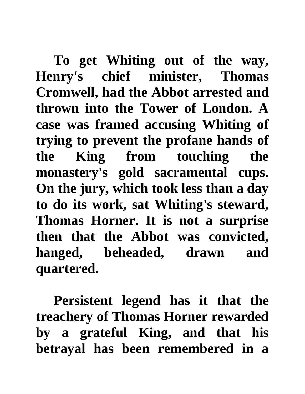**To get Whiting out of the way, Henry's chief minister, Thomas Cromwell, had the Abbot arrested and thrown into the Tower of London. A case was framed accusing Whiting of trying to prevent the profane hands of the King from touching the monastery's gold sacramental cups. On the jury, which took less than a day to do its work, sat Whiting's steward, Thomas Horner. It is not a surprise then that the Abbot was convicted, hanged, beheaded, drawn and quartered.** 

**Persistent legend has it that the treachery of Thomas Horner rewarded by a grateful King, and that his betrayal has been remembered in a**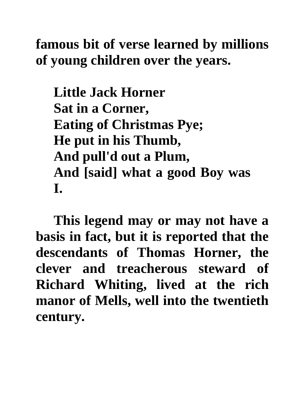**famous bit of verse learned by millions of young children over the years.**

**Little Jack Horner Sat in a Corner, Eating of Christmas Pye; He put in his Thumb, And pull'd out a Plum, And [said] what a good Boy was I.**

**This legend may or may not have a basis in fact, but it is reported that the descendants of Thomas Horner, the clever and treacherous steward of Richard Whiting, lived at the rich manor of Mells, well into the twentieth century.**